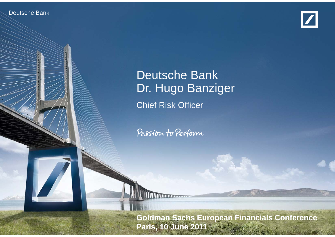Deutsche Banken Investor Relations



# Deutsche Bank Dr. Hugo Banziger Chief Risk Officer

Passion to Perform

**Coldman Sachs European Financials Conference** financial transparency. **Paris, 10 June 2011**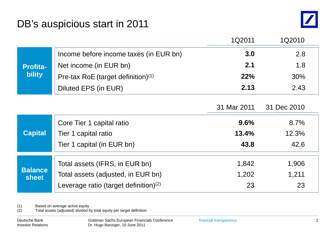

|                                  |                                                                      | 1Q2011      | 1Q2010      |
|----------------------------------|----------------------------------------------------------------------|-------------|-------------|
| <b>Profita-</b><br><b>bility</b> | Income before income taxes (in EUR bn)                               | 3.0         | 2.8         |
|                                  | Net income (in EUR bn)                                               | 2.1         | 1.8         |
|                                  | Pre-tax RoE (target definition) $(1)$                                | 22%         | 30%         |
|                                  | Diluted EPS (in EUR)                                                 | 2.13        | 2.43        |
|                                  |                                                                      |             |             |
|                                  |                                                                      | 31 Mar 2011 | 31 Dec 2010 |
| <b>Capital</b>                   | Core Tier 1 capital ratio                                            | 9.6%        | 8.7%        |
|                                  | Tier 1 capital ratio                                                 | 13.4%       | 12.3%       |
|                                  | Tier 1 capital (in EUR bn)                                           | 43.8        | 42.6        |
| <b>Balance</b><br>sheet          |                                                                      | 1,842       | 1,906       |
|                                  | Total assets (IFRS, in EUR bn)<br>Total assets (adjusted, in EUR bn) | 1,202       | 1,211       |
|                                  |                                                                      |             |             |
|                                  | Leverage ratio (target definition) $(2)$                             | 23          | 23          |

(1) Based on average active equity

(2) Total assets (adjusted) divided by total equity per target definition

Deutsche Bank Investor Relations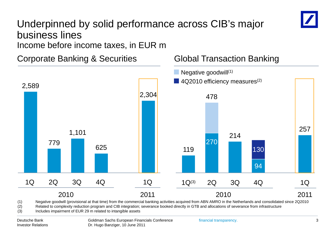# Underpinned by solid performance across CIB's major business lines

Income before income taxes, in EUR m

Corporate Banking & Securities Global Transaction Banking



(1) Negative goodwill (provisional at that time) from the commercial banking activities acquired from ABN AMRO in the Netherlands and consolidated since 2Q2010

(2) Related to complexity reduction program and CIB integration; severance booked directly in GTB and allocations of severance from infrastructure

2011

(3) Includes impairment of EUR 29 m related to intangible assets

1Q 2Q 3Q 4Q

2010

2,589

2010

1Q 1Q(3) 2Q 3Q 4Q

**Global Transaction Banking** 

2011

1Q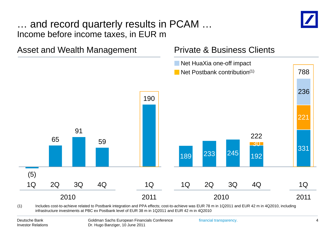## … and record quarterly results in PCAM … Income before income taxes, in EUR m



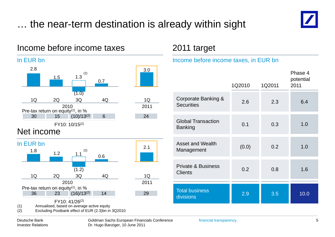## … the near-term destination is already within sight





(2) Excluding Postbank effect of EUR (2.3)bn in 3Q2010

### 2011 target

#### Income before income taxes, in EUR bn

| ⊆.O                                             | 1.5                                                | (2)<br>1.3                                            | 0.7              | 3.0 <sub>2</sub> |                                                 |        |        | Phase 4<br>potential |
|-------------------------------------------------|----------------------------------------------------|-------------------------------------------------------|------------------|------------------|-------------------------------------------------|--------|--------|----------------------|
|                                                 |                                                    |                                                       |                  |                  |                                                 | 1Q2010 | 1Q2011 | 2011                 |
| 1Q                                              | 2Q<br>tax return on equity <sup>(1)</sup> , in $%$ | (1.0)<br>3Q<br>2010                                   | 4Q               | 1Q<br>2011       | Corporate Banking &<br><b>Securities</b>        | 2.6    | 2.3    | 6.4                  |
| 30<br>income                                    | 15                                                 | $(10)/13^{(2)}$<br>FY10: 10/15 <sup>(2)</sup>         | $6 \overline{6}$ | 24               | <b>Global Transaction</b><br><b>Banking</b>     | 0.1    | 0.3    | 1.0                  |
| R bn<br>$.8\,$                                  | 1.2                                                | (2)<br>1.1                                            | 0.6              | 2.1              | <b>Asset and Wealth</b><br>Management           | (0.0)  | 0.2    | 1.0                  |
| 1Q                                              | 2Q                                                 | (1.2)<br>3Q                                           | 4Q               | 1Q               | <b>Private &amp; Business</b><br><b>Clients</b> | 0.2    | 0.8    | 1.6                  |
| 36<br>$\sim$ $\sim$ $\sim$ $\sim$ $\sim$ $\sim$ | tax return on equity <sup>(1)</sup> , in %<br>23   | 2010<br>$(16)/13^{(2)}$<br>FY10: 41/26 <sup>(2)</sup> | 14               | 2011<br>29       | <b>Total business</b><br>divisions              | 2.9    | 3.5    | 10.0                 |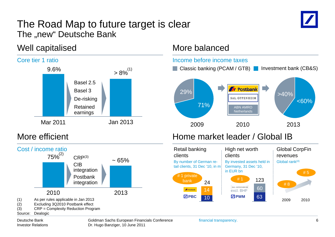#### The Road Map to future target is clear The "new" Deutsche Bank " Deutsche Ban



### Well capitalised More balanced





#### Source: Dealogic



financial transparency.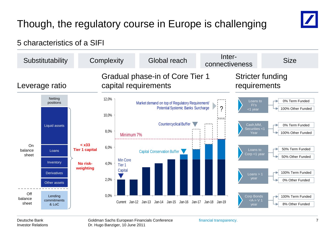# Though, the regulatory course in Europe is challenging



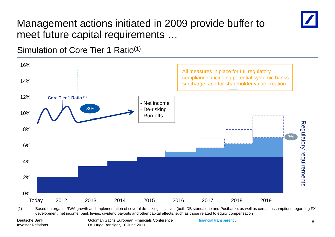

## Management actions initiated in 2009 provide buffer to meet future capital requirements …

Simulation of Core Tier 1 Ratio(1)



financial transparency.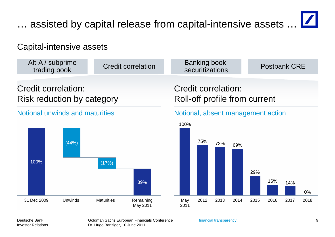# … assisted by capital release from capital-intensive assets …

### Capital-intensive assets



Deutsche BankInvestor Relations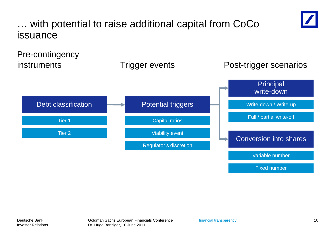

… with potential to raise additional capital from CoCo issuance

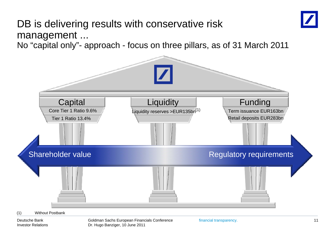## DB is delivering results with conservative risk managemen t ...

No "capital only"- approach - focus on three pillars, as of 31 March 2011



Deutsche BankInvestor Relations Goldman Sachs European Financials Conference Dr. Hugo Banziger, 10 June 2011

financial transparency. 11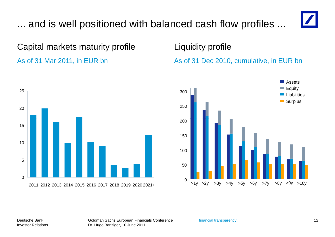# ... and is well positioned with balanced cash flow profiles ...



# Capital markets maturity profile **Liquidity profile**

#### As of 31 Mar 2011 in EUR



#### s of 31 Mar 2011, in EUR bn As of 31 Dec 2010, cumulative, in EUR bn

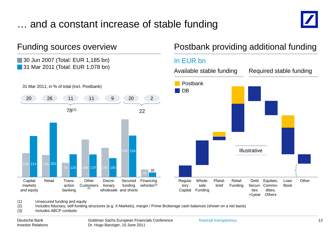## … and a constant increase of stable funding





(1) Unsecured funding and equity

(2) Includes fiduciary, self-funding structures (e.g. X-Markets), margin / Prime Brokerage cash balances (shown on a net basis)

(3) Includes ABCP conduits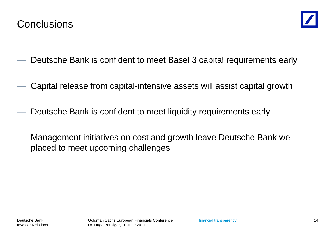

- Deutsche Bank is confident to meet Basel 3 capital requirements early
- Capital release from capital-intensive assets will assist capital growth
- Deutsche Bank is confident to meet liquidity requirements early
- Management initiatives on cost and growth leave Deutsche Bank well placed to meet upcoming challenges